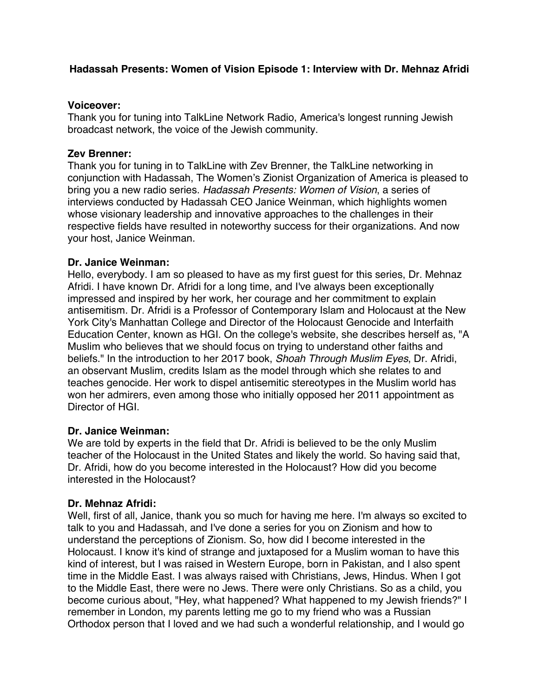# **Hadassah Presents: Women of Vision Episode 1: Interview with Dr. Mehnaz Afridi**

### **Voiceover:**

Thank you for tuning into TalkLine Network Radio, America's longest running Jewish broadcast network, the voice of the Jewish community.

### **Zev Brenner:**

Thank you for tuning in to TalkLine with Zev Brenner, the TalkLine networking in conjunction with Hadassah, The Women's Zionist Organization of America is pleased to bring you a new radio series. *Hadassah Presents: Women of Vision*, a series of interviews conducted by Hadassah CEO Janice Weinman, which highlights women whose visionary leadership and innovative approaches to the challenges in their respective fields have resulted in noteworthy success for their organizations. And now your host, Janice Weinman.

### **Dr. Janice Weinman:**

Hello, everybody. I am so pleased to have as my first guest for this series, Dr. Mehnaz Afridi. I have known Dr. Afridi for a long time, and I've always been exceptionally impressed and inspired by her work, her courage and her commitment to explain antisemitism. Dr. Afridi is a Professor of Contemporary Islam and Holocaust at the New York City's Manhattan College and Director of the Holocaust Genocide and Interfaith Education Center, known as HGI. On the college's website, she describes herself as, "A Muslim who believes that we should focus on trying to understand other faiths and beliefs." In the introduction to her 2017 book, *Shoah Through Muslim Eyes*, Dr. Afridi, an observant Muslim, credits Islam as the model through which she relates to and teaches genocide. Her work to dispel antisemitic stereotypes in the Muslim world has won her admirers, even among those who initially opposed her 2011 appointment as Director of HGI.

### **Dr. Janice Weinman:**

We are told by experts in the field that Dr. Afridi is believed to be the only Muslim teacher of the Holocaust in the United States and likely the world. So having said that, Dr. Afridi, how do you become interested in the Holocaust? How did you become interested in the Holocaust?

### **Dr. Mehnaz Afridi:**

Well, first of all, Janice, thank you so much for having me here. I'm always so excited to talk to you and Hadassah, and I've done a series for you on Zionism and how to understand the perceptions of Zionism. So, how did I become interested in the Holocaust. I know it's kind of strange and juxtaposed for a Muslim woman to have this kind of interest, but I was raised in Western Europe, born in Pakistan, and I also spent time in the Middle East. I was always raised with Christians, Jews, Hindus. When I got to the Middle East, there were no Jews. There were only Christians. So as a child, you become curious about, "Hey, what happened? What happened to my Jewish friends?" I remember in London, my parents letting me go to my friend who was a Russian Orthodox person that I loved and we had such a wonderful relationship, and I would go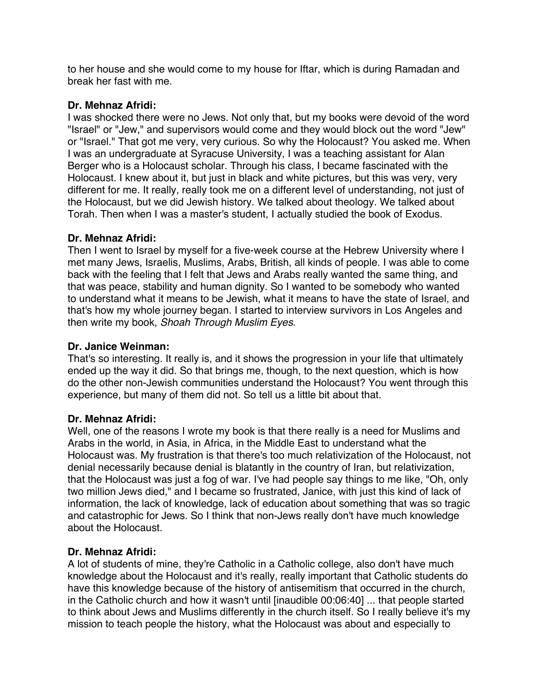to her house and she would come to my house for Iftar, which is during Ramadan and break her fast with me.

### **Dr. Mehnaz Afridi:**

I was shocked there were no Jews. Not only that, but my books were devoid of the word "Israel" or "Jew," and supervisors would come and they would block out the word "Jew" or "Israel." That got me very, very curious. So why the Holocaust? You asked me. When I was an undergraduate at Syracuse University, I was a teaching assistant for Alan Berger who is a Holocaust scholar. Through his class, I became fascinated with the Holocaust. I knew about it, but just in black and white pictures, but this was very, very different for me. It really, really took me on a different level of understanding, not just of the Holocaust, but we did Jewish history. We talked about theology. We talked about Torah. Then when I was a master's student, I actually studied the book of Exodus.

### **Dr. Mehnaz Afridi:**

Then I went to Israel by myself for a five-week course at the Hebrew University where I met many Jews, Israelis, Muslims, Arabs, British, all kinds of people. I was able to come back with the feeling that I felt that Jews and Arabs really wanted the same thing, and that was peace, stability and human dignity. So I wanted to be somebody who wanted to understand what it means to be Jewish, what it means to have the state of Israel, and that's how my whole journey began. I started to interview survivors in Los Angeles and then write my book, *Shoah Through Muslim Eyes*.

### **Dr. Janice Weinman:**

That's so interesting. It really is, and it shows the progression in your life that ultimately ended up the way it did. So that brings me, though, to the next question, which is how do the other non-Jewish communities understand the Holocaust? You went through this experience, but many of them did not. So tell us a little bit about that.

### **Dr. Mehnaz Afridi:**

Well, one of the reasons I wrote my book is that there really is a need for Muslims and Arabs in the world, in Asia, in Africa, in the Middle East to understand what the Holocaust was. My frustration is that there's too much relativization of the Holocaust, not denial necessarily because denial is blatantly in the country of Iran, but relativization, that the Holocaust was just a fog of war. I've had people say things to me like, "Oh, only two million Jews died," and I became so frustrated, Janice, with just this kind of lack of information, the lack of knowledge, lack of education about something that was so tragic and catastrophic for Jews. So I think that non-Jews really don't have much knowledge about the Holocaust.

# **Dr. Mehnaz Afridi:**

A lot of students of mine, they're Catholic in a Catholic college, also don't have much knowledge about the Holocaust and it's really, really important that Catholic students do have this knowledge because of the history of antisemitism that occurred in the church, in the Catholic church and how it wasn't until [inaudible 00:06:40] ... that people started to think about Jews and Muslims differently in the church itself. So I really believe it's my mission to teach people the history, what the Holocaust was about and especially to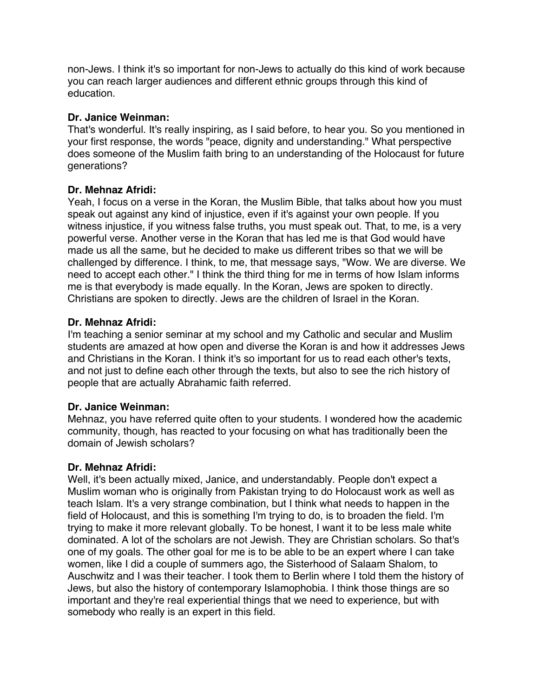non-Jews. I think it's so important for non-Jews to actually do this kind of work because you can reach larger audiences and different ethnic groups through this kind of education.

# **Dr. Janice Weinman:**

That's wonderful. It's really inspiring, as I said before, to hear you. So you mentioned in your first response, the words "peace, dignity and understanding." What perspective does someone of the Muslim faith bring to an understanding of the Holocaust for future generations?

# **Dr. Mehnaz Afridi:**

Yeah, I focus on a verse in the Koran, the Muslim Bible, that talks about how you must speak out against any kind of injustice, even if it's against your own people. If you witness injustice, if you witness false truths, you must speak out. That, to me, is a very powerful verse. Another verse in the Koran that has led me is that God would have made us all the same, but he decided to make us different tribes so that we will be challenged by difference. I think, to me, that message says, "Wow. We are diverse. We need to accept each other." I think the third thing for me in terms of how Islam informs me is that everybody is made equally. In the Koran, Jews are spoken to directly. Christians are spoken to directly. Jews are the children of Israel in the Koran.

# **Dr. Mehnaz Afridi:**

I'm teaching a senior seminar at my school and my Catholic and secular and Muslim students are amazed at how open and diverse the Koran is and how it addresses Jews and Christians in the Koran. I think it's so important for us to read each other's texts, and not just to define each other through the texts, but also to see the rich history of people that are actually Abrahamic faith referred.

# **Dr. Janice Weinman:**

Mehnaz, you have referred quite often to your students. I wondered how the academic community, though, has reacted to your focusing on what has traditionally been the domain of Jewish scholars?

# **Dr. Mehnaz Afridi:**

Well, it's been actually mixed, Janice, and understandably. People don't expect a Muslim woman who is originally from Pakistan trying to do Holocaust work as well as teach Islam. It's a very strange combination, but I think what needs to happen in the field of Holocaust, and this is something I'm trying to do, is to broaden the field. I'm trying to make it more relevant globally. To be honest, I want it to be less male white dominated. A lot of the scholars are not Jewish. They are Christian scholars. So that's one of my goals. The other goal for me is to be able to be an expert where I can take women, like I did a couple of summers ago, the Sisterhood of Salaam Shalom, to Auschwitz and I was their teacher. I took them to Berlin where I told them the history of Jews, but also the history of contemporary Islamophobia. I think those things are so important and they're real experiential things that we need to experience, but with somebody who really is an expert in this field.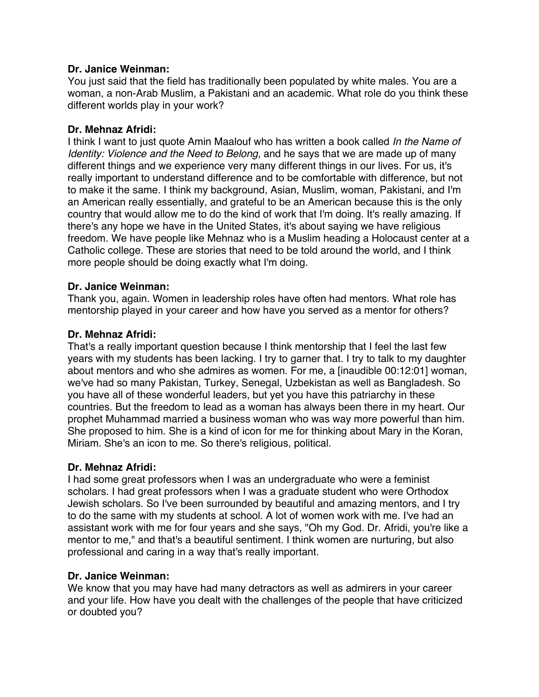### **Dr. Janice Weinman:**

You just said that the field has traditionally been populated by white males. You are a woman, a non-Arab Muslim, a Pakistani and an academic. What role do you think these different worlds play in your work?

### **Dr. Mehnaz Afridi:**

I think I want to just quote Amin Maalouf who has written a book called *In the Name of Identity: Violence and the Need to Belong*, and he says that we are made up of many different things and we experience very many different things in our lives. For us, it's really important to understand difference and to be comfortable with difference, but not to make it the same. I think my background, Asian, Muslim, woman, Pakistani, and I'm an American really essentially, and grateful to be an American because this is the only country that would allow me to do the kind of work that I'm doing. It's really amazing. If there's any hope we have in the United States, it's about saying we have religious freedom. We have people like Mehnaz who is a Muslim heading a Holocaust center at a Catholic college. These are stories that need to be told around the world, and I think more people should be doing exactly what I'm doing.

### **Dr. Janice Weinman:**

Thank you, again. Women in leadership roles have often had mentors. What role has mentorship played in your career and how have you served as a mentor for others?

### **Dr. Mehnaz Afridi:**

That's a really important question because I think mentorship that I feel the last few years with my students has been lacking. I try to garner that. I try to talk to my daughter about mentors and who she admires as women. For me, a [inaudible 00:12:01] woman, we've had so many Pakistan, Turkey, Senegal, Uzbekistan as well as Bangladesh. So you have all of these wonderful leaders, but yet you have this patriarchy in these countries. But the freedom to lead as a woman has always been there in my heart. Our prophet Muhammad married a business woman who was way more powerful than him. She proposed to him. She is a kind of icon for me for thinking about Mary in the Koran, Miriam. She's an icon to me. So there's religious, political.

# **Dr. Mehnaz Afridi:**

I had some great professors when I was an undergraduate who were a feminist scholars. I had great professors when I was a graduate student who were Orthodox Jewish scholars. So I've been surrounded by beautiful and amazing mentors, and I try to do the same with my students at school. A lot of women work with me. I've had an assistant work with me for four years and she says, "Oh my God. Dr. Afridi, you're like a mentor to me," and that's a beautiful sentiment. I think women are nurturing, but also professional and caring in a way that's really important.

### **Dr. Janice Weinman:**

We know that you may have had many detractors as well as admirers in your career and your life. How have you dealt with the challenges of the people that have criticized or doubted you?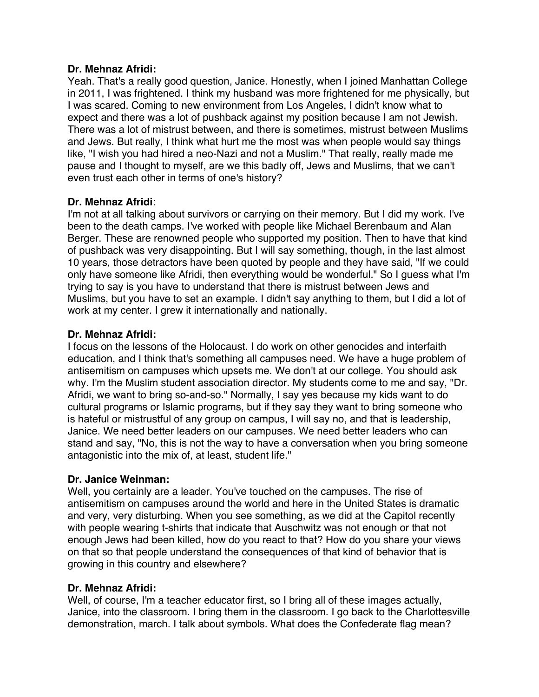### **Dr. Mehnaz Afridi:**

Yeah. That's a really good question, Janice. Honestly, when I joined Manhattan College in 2011, I was frightened. I think my husband was more frightened for me physically, but I was scared. Coming to new environment from Los Angeles, I didn't know what to expect and there was a lot of pushback against my position because I am not Jewish. There was a lot of mistrust between, and there is sometimes, mistrust between Muslims and Jews. But really, I think what hurt me the most was when people would say things like, "I wish you had hired a neo-Nazi and not a Muslim." That really, really made me pause and I thought to myself, are we this badly off, Jews and Muslims, that we can't even trust each other in terms of one's history?

# **Dr. Mehnaz Afridi**:

I'm not at all talking about survivors or carrying on their memory. But I did my work. I've been to the death camps. I've worked with people like Michael Berenbaum and Alan Berger. These are renowned people who supported my position. Then to have that kind of pushback was very disappointing. But I will say something, though, in the last almost 10 years, those detractors have been quoted by people and they have said, "If we could only have someone like Afridi, then everything would be wonderful." So I guess what I'm trying to say is you have to understand that there is mistrust between Jews and Muslims, but you have to set an example. I didn't say anything to them, but I did a lot of work at my center. I grew it internationally and nationally.

# **Dr. Mehnaz Afridi:**

I focus on the lessons of the Holocaust. I do work on other genocides and interfaith education, and I think that's something all campuses need. We have a huge problem of antisemitism on campuses which upsets me. We don't at our college. You should ask why. I'm the Muslim student association director. My students come to me and say, "Dr. Afridi, we want to bring so-and-so." Normally, I say yes because my kids want to do cultural programs or Islamic programs, but if they say they want to bring someone who is hateful or mistrustful of any group on campus, I will say no, and that is leadership, Janice. We need better leaders on our campuses. We need better leaders who can stand and say, "No, this is not the way to have a conversation when you bring someone antagonistic into the mix of, at least, student life."

# **Dr. Janice Weinman:**

Well, you certainly are a leader. You've touched on the campuses. The rise of antisemitism on campuses around the world and here in the United States is dramatic and very, very disturbing. When you see something, as we did at the Capitol recently with people wearing t-shirts that indicate that Auschwitz was not enough or that not enough Jews had been killed, how do you react to that? How do you share your views on that so that people understand the consequences of that kind of behavior that is growing in this country and elsewhere?

# **Dr. Mehnaz Afridi:**

Well, of course, I'm a teacher educator first, so I bring all of these images actually, Janice, into the classroom. I bring them in the classroom. I go back to the Charlottesville demonstration, march. I talk about symbols. What does the Confederate flag mean?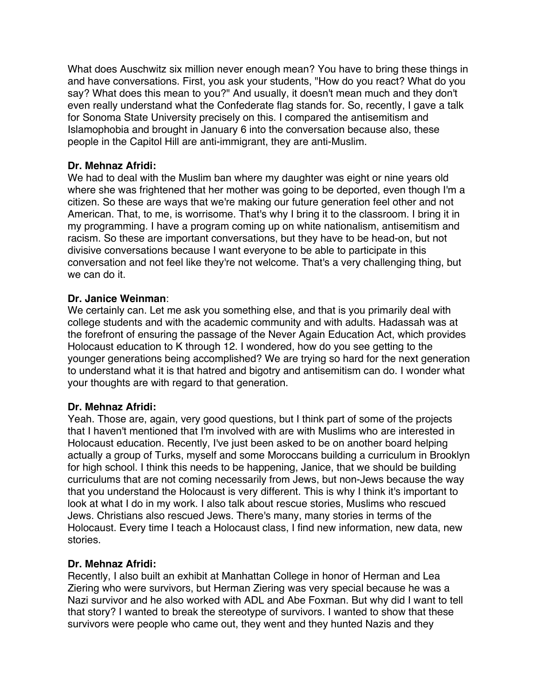What does Auschwitz six million never enough mean? You have to bring these things in and have conversations. First, you ask your students, "How do you react? What do you say? What does this mean to you?" And usually, it doesn't mean much and they don't even really understand what the Confederate flag stands for. So, recently, I gave a talk for Sonoma State University precisely on this. I compared the antisemitism and Islamophobia and brought in January 6 into the conversation because also, these people in the Capitol Hill are anti-immigrant, they are anti-Muslim.

# **Dr. Mehnaz Afridi:**

We had to deal with the Muslim ban where my daughter was eight or nine years old where she was frightened that her mother was going to be deported, even though I'm a citizen. So these are ways that we're making our future generation feel other and not American. That, to me, is worrisome. That's why I bring it to the classroom. I bring it in my programming. I have a program coming up on white nationalism, antisemitism and racism. So these are important conversations, but they have to be head-on, but not divisive conversations because I want everyone to be able to participate in this conversation and not feel like they're not welcome. That's a very challenging thing, but we can do it.

# **Dr. Janice Weinman**:

We certainly can. Let me ask you something else, and that is you primarily deal with college students and with the academic community and with adults. Hadassah was at the forefront of ensuring the passage of the Never Again Education Act, which provides Holocaust education to K through 12. I wondered, how do you see getting to the younger generations being accomplished? We are trying so hard for the next generation to understand what it is that hatred and bigotry and antisemitism can do. I wonder what your thoughts are with regard to that generation.

# **Dr. Mehnaz Afridi:**

Yeah. Those are, again, very good questions, but I think part of some of the projects that I haven't mentioned that I'm involved with are with Muslims who are interested in Holocaust education. Recently, I've just been asked to be on another board helping actually a group of Turks, myself and some Moroccans building a curriculum in Brooklyn for high school. I think this needs to be happening, Janice, that we should be building curriculums that are not coming necessarily from Jews, but non-Jews because the way that you understand the Holocaust is very different. This is why I think it's important to look at what I do in my work. I also talk about rescue stories, Muslims who rescued Jews. Christians also rescued Jews. There's many, many stories in terms of the Holocaust. Every time I teach a Holocaust class, I find new information, new data, new stories.

# **Dr. Mehnaz Afridi:**

Recently, I also built an exhibit at Manhattan College in honor of Herman and Lea Ziering who were survivors, but Herman Ziering was very special because he was a Nazi survivor and he also worked with ADL and Abe Foxman. But why did I want to tell that story? I wanted to break the stereotype of survivors. I wanted to show that these survivors were people who came out, they went and they hunted Nazis and they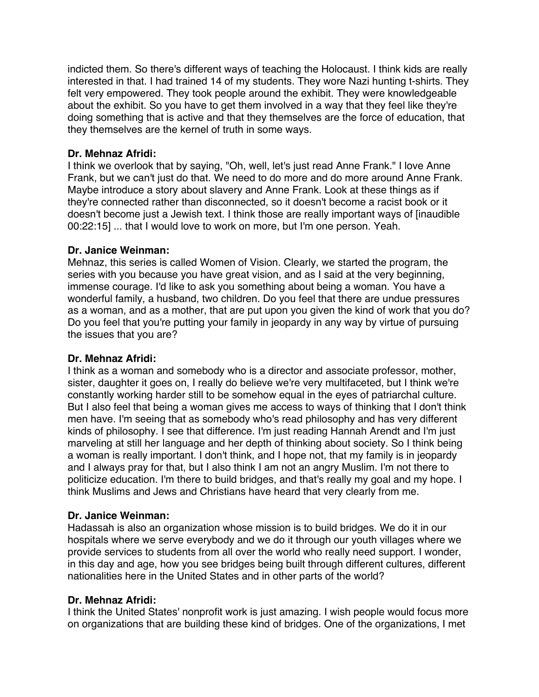indicted them. So there's different ways of teaching the Holocaust. I think kids are really interested in that. I had trained 14 of my students. They wore Nazi hunting t-shirts. They felt very empowered. They took people around the exhibit. They were knowledgeable about the exhibit. So you have to get them involved in a way that they feel like they're doing something that is active and that they themselves are the force of education, that they themselves are the kernel of truth in some ways.

# **Dr. Mehnaz Afridi:**

I think we overlook that by saying, "Oh, well, let's just read Anne Frank." I love Anne Frank, but we can't just do that. We need to do more and do more around Anne Frank. Maybe introduce a story about slavery and Anne Frank. Look at these things as if they're connected rather than disconnected, so it doesn't become a racist book or it doesn't become just a Jewish text. I think those are really important ways of [inaudible 00:22:15] ... that I would love to work on more, but I'm one person. Yeah.

# **Dr. Janice Weinman:**

Mehnaz, this series is called Women of Vision. Clearly, we started the program, the series with you because you have great vision, and as I said at the very beginning, immense courage. I'd like to ask you something about being a woman. You have a wonderful family, a husband, two children. Do you feel that there are undue pressures as a woman, and as a mother, that are put upon you given the kind of work that you do? Do you feel that you're putting your family in jeopardy in any way by virtue of pursuing the issues that you are?

# **Dr. Mehnaz Afridi:**

I think as a woman and somebody who is a director and associate professor, mother, sister, daughter it goes on, I really do believe we're very multifaceted, but I think we're constantly working harder still to be somehow equal in the eyes of patriarchal culture. But I also feel that being a woman gives me access to ways of thinking that I don't think men have. I'm seeing that as somebody who's read philosophy and has very different kinds of philosophy. I see that difference. I'm just reading Hannah Arendt and I'm just marveling at still her language and her depth of thinking about society. So I think being a woman is really important. I don't think, and I hope not, that my family is in jeopardy and I always pray for that, but I also think I am not an angry Muslim. I'm not there to politicize education. I'm there to build bridges, and that's really my goal and my hope. I think Muslims and Jews and Christians have heard that very clearly from me.

# **Dr. Janice Weinman:**

Hadassah is also an organization whose mission is to build bridges. We do it in our hospitals where we serve everybody and we do it through our youth villages where we provide services to students from all over the world who really need support. I wonder, in this day and age, how you see bridges being built through different cultures, different nationalities here in the United States and in other parts of the world?

# **Dr. Mehnaz Afridi:**

I think the United States' nonprofit work is just amazing. I wish people would focus more on organizations that are building these kind of bridges. One of the organizations, I met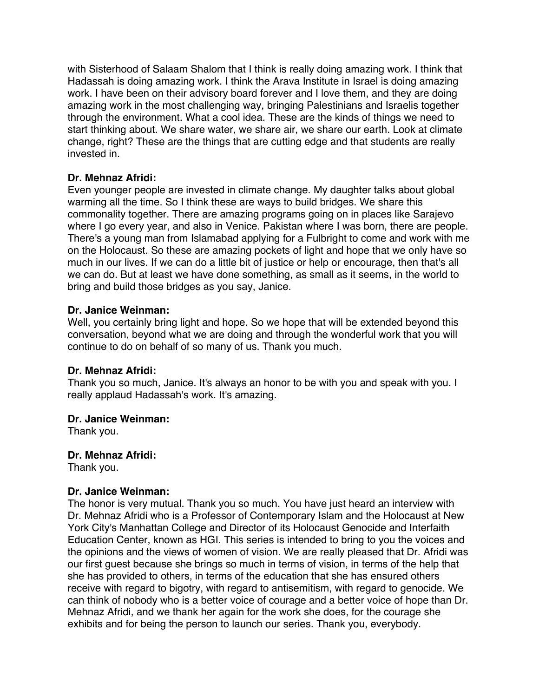with Sisterhood of Salaam Shalom that I think is really doing amazing work. I think that Hadassah is doing amazing work. I think the Arava Institute in Israel is doing amazing work. I have been on their advisory board forever and I love them, and they are doing amazing work in the most challenging way, bringing Palestinians and Israelis together through the environment. What a cool idea. These are the kinds of things we need to start thinking about. We share water, we share air, we share our earth. Look at climate change, right? These are the things that are cutting edge and that students are really invested in.

# **Dr. Mehnaz Afridi:**

Even younger people are invested in climate change. My daughter talks about global warming all the time. So I think these are ways to build bridges. We share this commonality together. There are amazing programs going on in places like Sarajevo where I go every year, and also in Venice. Pakistan where I was born, there are people. There's a young man from Islamabad applying for a Fulbright to come and work with me on the Holocaust. So these are amazing pockets of light and hope that we only have so much in our lives. If we can do a little bit of justice or help or encourage, then that's all we can do. But at least we have done something, as small as it seems, in the world to bring and build those bridges as you say, Janice.

# **Dr. Janice Weinman:**

Well, you certainly bring light and hope. So we hope that will be extended beyond this conversation, beyond what we are doing and through the wonderful work that you will continue to do on behalf of so many of us. Thank you much.

# **Dr. Mehnaz Afridi:**

Thank you so much, Janice. It's always an honor to be with you and speak with you. I really applaud Hadassah's work. It's amazing.

# **Dr. Janice Weinman:**

Thank you.

# **Dr. Mehnaz Afridi:**

Thank you.

# **Dr. Janice Weinman:**

The honor is very mutual. Thank you so much. You have just heard an interview with Dr. Mehnaz Afridi who is a Professor of Contemporary Islam and the Holocaust at New York City's Manhattan College and Director of its Holocaust Genocide and Interfaith Education Center, known as HGI. This series is intended to bring to you the voices and the opinions and the views of women of vision. We are really pleased that Dr. Afridi was our first guest because she brings so much in terms of vision, in terms of the help that she has provided to others, in terms of the education that she has ensured others receive with regard to bigotry, with regard to antisemitism, with regard to genocide. We can think of nobody who is a better voice of courage and a better voice of hope than Dr. Mehnaz Afridi, and we thank her again for the work she does, for the courage she exhibits and for being the person to launch our series. Thank you, everybody.